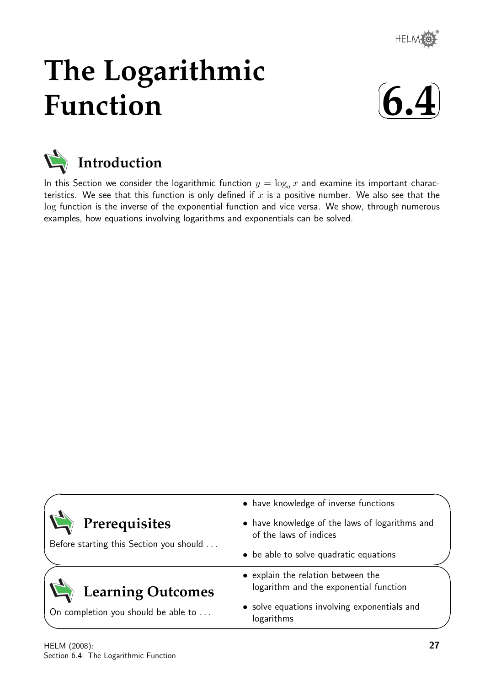

# **The Logarithmic Function**





In this Section we consider the logarithmic function  $y = \log_a x$  and examine its important characteristics. We see that this function is only defined if  $x$  is a positive number. We also see that the log function is the inverse of the exponential function and vice versa. We show, through numerous examples, how equations involving logarithms and exponentials can be solved.

|                                         | • have knowledge of inverse functions                                        |
|-----------------------------------------|------------------------------------------------------------------------------|
| Prerequisites                           | • have knowledge of the laws of logarithms and<br>of the laws of indices     |
| Before starting this Section you should | • be able to solve quadratic equations                                       |
| <b>Learning Outcomes</b>                | • explain the relation between the<br>logarithm and the exponential function |
| On completion you should be able to     | • solve equations involving exponentials and<br>logarithms                   |

✧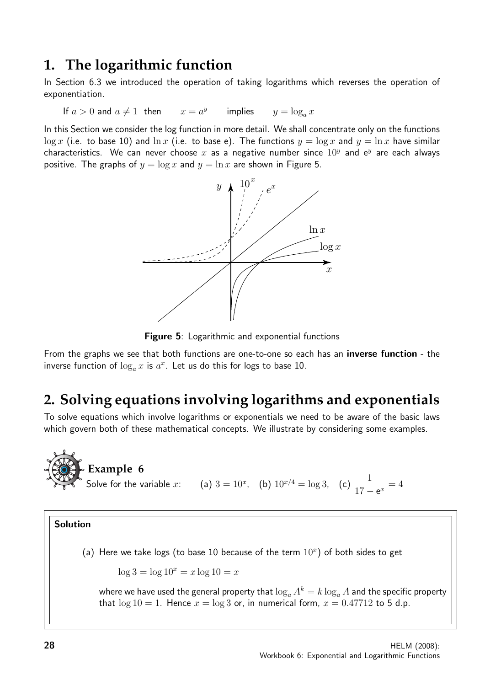## **1. The logarithmic function**

In Section 6.3 we introduced the operation of taking logarithms which reverses the operation of exponentiation.

If 
$$
a > 0
$$
 and  $a \neq 1$  then  $x = a^y$  implies  $y = \log_a x$ 

In this Section we consider the log function in more detail. We shall concentrate only on the functions  $\log x$  (i.e. to base 10) and  $\ln x$  (i.e. to base e). The functions  $y = \log x$  and  $y = \ln x$  have similar characteristics. We can never choose  $x$  as a negative number since  $10^y$  and  $e^y$  are each always positive. The graphs of  $y = \log x$  and  $y = \ln x$  are shown in Figure 5.



Figure 5: Logarithmic and exponential functions

From the graphs we see that both functions are one-to-one so each has an inverse function - the inverse function of  $\log_a x$  is  $a^x$ . Let us do this for logs to base 10.

# **2. Solving equations involving logarithms and exponentials**

To solve equations which involve logarithms or exponentials we need to be aware of the basic laws which govern both of these mathematical concepts. We illustrate by considering some examples.

**Example 6**  
Solve for the variable x: (a) 
$$
3 = 10^x
$$
, (b)  $10^{x/4} = \log 3$ , (c)  $\frac{1}{17 - e^x} = 4$ 

### Solution

(a) Here we take logs (to base 10 because of the term  $10<sup>x</sup>$ ) of both sides to get

$$
\log 3 = \log 10^x = x \log 10 = x
$$

where we have used the general property that  $\log_a A^k = k \log_a A$  and the specific property that  $log 10 = 1$ . Hence  $x = log 3$  or, in numerical form,  $x = 0.47712$  to 5 d.p.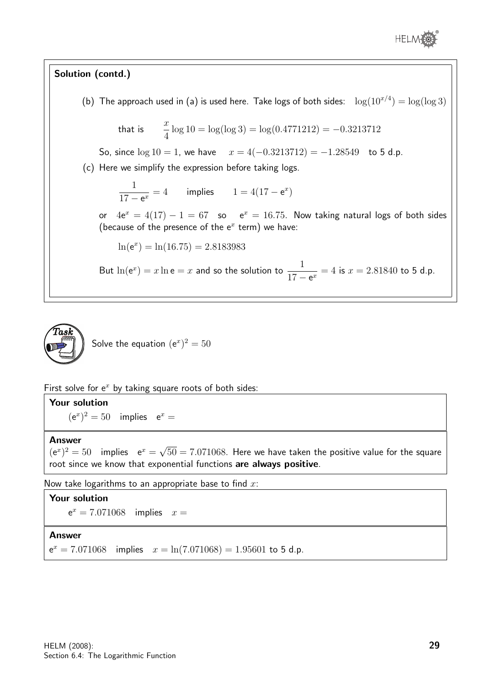

## Solution (contd.)

(b) The approach used in (a) is used here. Take logs of both sides:  $\log(10^{x/4}) = \log(\log 3)$ 

that is 
$$
\frac{x}{4} \log 10 = \log(\log 3) = \log(0.4771212) = -0.3213712
$$

So, since  $log 10 = 1$ , we have  $x = 4(-0.3213712) = -1.28549$  to 5 d.p.

(c) Here we simplify the expression before taking logs.

1  $17 - e^x$  $= 4$  implies  $1 = 4(17 - e^x)$ 

or  $4e^x = 4(17) - 1 = 67$  so  $e^x = 16.75$ . Now taking natural logs of both sides (because of the presence of the  $e^x$  term) we have:

 $ln(e^x) = ln(16.75) = 2.8183983$ 

But  $\ln(e^x) = x \ln e = x$  and so the solution to  $\frac{1}{15}$  $\frac{1}{17 - e^x} = 4$  is  $x = 2.81840$  to 5 d.p.



First solve for  $e^x$  by taking square roots of both sides:

## Your solution

 $(e^x)^2 = 50$  implies  $e^x =$ 

#### Answer

 $(e^x)^2 = 50$  implies  $e^x =$ √  $50 = 7.071068$ . Here we have taken the positive value for the square root since we know that exponential functions are always positive.

Now take logarithms to an appropriate base to find  $x$ :

#### Your solution

 $e^x = 7.071068$  implies  $x =$ 

#### Answer

 $e^x = 7.071068$  implies  $x = \ln(7.071068) = 1.95601$  to 5 d.p.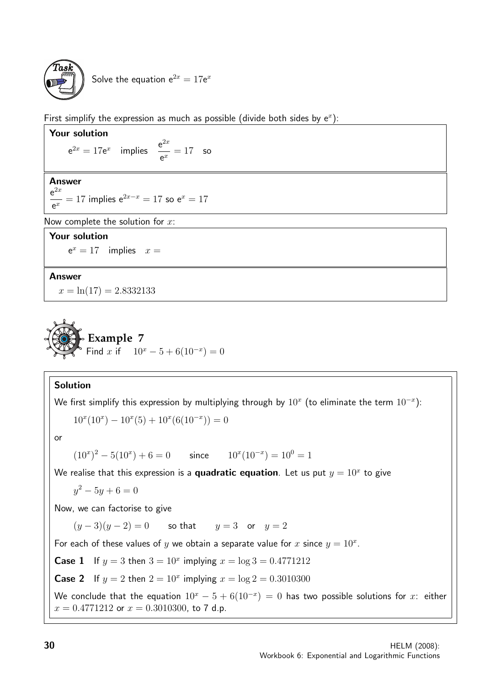

First simplify the expression as much as possible (divide both sides by  $e^x$ ):

Your solution  $e^{2x} = 17e^x$  implies  $\frac{e^{2x}}{x}$  $\frac{c}{e^x} = 17$  so

## Answer

 $e^{2x}$  $\frac{c}{e^x} = 17$  implies  $e^{2x-x} = 17$  so  $e^x = 17$ 

Now complete the solution for  $x$ :

## Your solution

 $e^x = 17$  implies  $x =$ 

### Answer

 $x = \ln(17) = 2.8332133$ 



## Solution

We first simplify this expression by multiplying through by  $10^x$  (to eliminate the term  $10^{-x})$ :

$$
10^{x}(10^{x}) - 10^{x}(5) + 10^{x}(6(10^{-x})) = 0
$$

or

 $(10<sup>x</sup>)<sup>2</sup> - 5(10<sup>x</sup>) + 6 = 0$  since  $10<sup>x</sup>(10<sup>-x</sup>) = 10<sup>0</sup> = 1$ 

We realise that this expression is a **quadratic equation**. Let us put  $y = 10^x$  to give

 $y^2 - 5y + 6 = 0$ 

Now, we can factorise to give

 $(y-3)(y-2) = 0$  so that  $y = 3$  or  $y = 2$ 

For each of these values of y we obtain a separate value for x since  $y = 10^x$ .

**Case 1** If  $y = 3$  then  $3 = 10^x$  implying  $x = \log 3 = 0.4771212$ 

**Case 2** If  $y = 2$  then  $2 = 10^x$  implying  $x = \log 2 = 0.3010300$ 

We conclude that the equation  $10^x - 5 + 6(10^{-x}) = 0$  has two possible solutions for x: either  $x = 0.4771212$  or  $x = 0.3010300$ , to 7 d.p.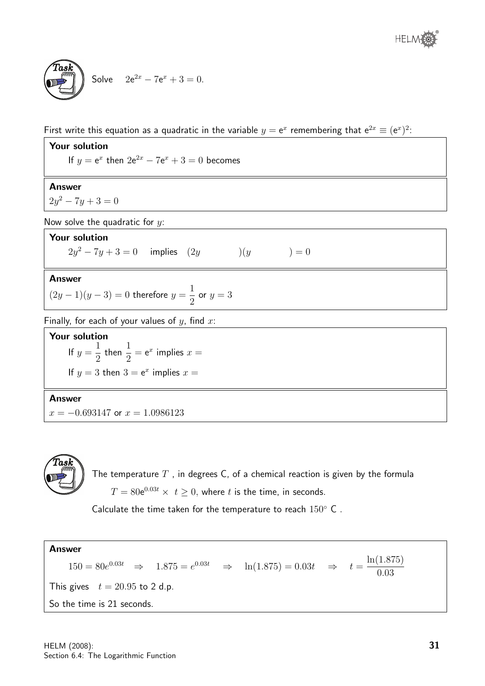

First write this equation as a quadratic in the variable  $y = e^x$  remembering that  $e^{2x} \equiv (e^x)^2$ .

Your solution If  $y = e^x$  then  $2e^{2x} - 7e^x + 3 = 0$  becomes Answer  $2y^2 - 7y + 3 = 0$ Now solve the quadratic for  $y$ : Your solution  $2y^2 - 7y + 3 = 0$  implies  $(2y)$   $)(y) = 0$ Answer  $(2y-1)(y-3)=0$  therefore  $y=\frac{1}{2}$ 2 or  $y=3$ Finally, for each of your values of  $y$ , find  $x$ : Your solution If  $y =$ 1 2 then  $\frac{1}{2}$ 2  $= e^x$  implies  $x =$ If  $y = 3$  then  $3 = e^x$  implies  $x =$ Answer

 $x = -0.693147$  or  $x = 1.0986123$ 



The temperature  $T$  , in degrees C, of a chemical reaction is given by the formula  $T=80{\rm e}^{0.03t}\times\;t\geq0,$  where  $t$  is the time, in seconds.

Calculate the time taken for the temperature to reach  $150^{\circ}$  C.

Answer  $150 = 80e^{0.03t} \Rightarrow 1.875 = e^{0.03t} \Rightarrow \ln(1.875) = 0.03t \Rightarrow t = \frac{\ln(1.875)}{0.03}$ 0.03 This gives  $t = 20.95$  to 2 d.p. So the time is 21 seconds.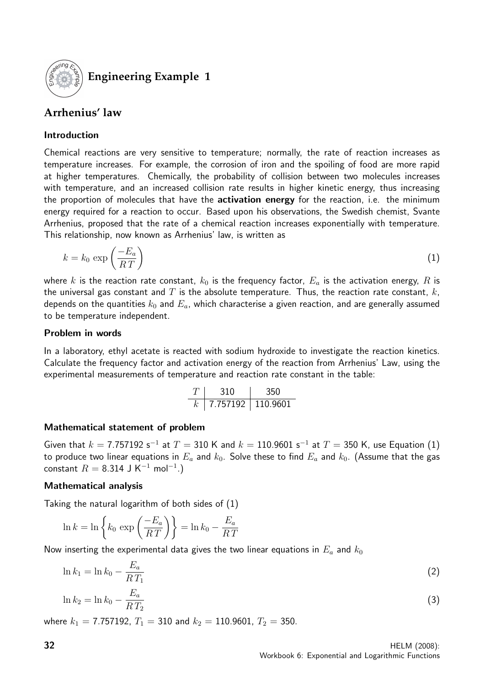

## **Engineering Example 1**

## **Arrhenius' law**

## Introduction

Chemical reactions are very sensitive to temperature; normally, the rate of reaction increases as temperature increases. For example, the corrosion of iron and the spoiling of food are more rapid at higher temperatures. Chemically, the probability of collision between two molecules increases with temperature, and an increased collision rate results in higher kinetic energy, thus increasing the proportion of molecules that have the activation energy for the reaction, i.e. the minimum energy required for a reaction to occur. Based upon his observations, the Swedish chemist, Svante Arrhenius, proposed that the rate of a chemical reaction increases exponentially with temperature. This relationship, now known as Arrhenius' law, is written as

$$
k = k_0 \exp\left(\frac{-E_a}{RT}\right) \tag{1}
$$

where k is the reaction rate constant,  $k_0$  is the frequency factor,  $E_a$  is the activation energy, R is the universal gas constant and  $T$  is the absolute temperature. Thus, the reaction rate constant,  $k$ , depends on the quantities  $k_0$  and  $E_a$ , which characterise a given reaction, and are generally assumed to be temperature independent.

### Problem in words

In a laboratory, ethyl acetate is reacted with sodium hydroxide to investigate the reaction kinetics. Calculate the frequency factor and activation energy of the reaction from Arrhenius' Law, using the experimental measurements of temperature and reaction rate constant in the table:

| 310                 | -350 |
|---------------------|------|
| 7.757192   110.9601 |      |

### Mathematical statement of problem

Given that  $k = 7.757192$  s<sup>-1</sup> at  $T = 310$  K and  $k = 110.9601$  s<sup>-1</sup> at  $T = 350$  K, use Equation (1) to produce two linear equations in  $E_a$  and  $k_0$ . Solve these to find  $E_a$  and  $k_0$ . (Assume that the gas constant  $R = 8.314$  J K<sup>-1</sup> mol<sup>-1</sup>.)

### Mathematical analysis

Taking the natural logarithm of both sides of (1)

$$
\ln k = \ln \left\{ k_0 \, \exp\left(\frac{-E_a}{RT}\right) \right\} = \ln k_0 - \frac{E_a}{RT}
$$

Now inserting the experimental data gives the two linear equations in  $E_a$  and  $k_0$ 

$$
\ln k_1 = \ln k_0 - \frac{E_a}{RT_1} \tag{2}
$$

$$
\ln k_2 = \ln k_0 - \frac{E_a}{RT_2} \tag{3}
$$

where  $k_1 = 7.757192$ ,  $T_1 = 310$  and  $k_2 = 110.9601$ ,  $T_2 = 350$ .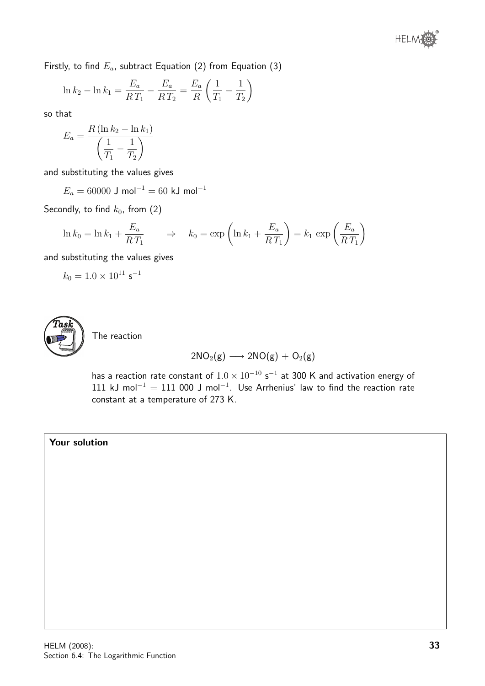Firstly, to find  $E_a$ , subtract Equation (2) from Equation (3)

$$
\ln k_2 - \ln k_1 = \frac{E_a}{RT_1} - \frac{E_a}{RT_2} = \frac{E_a}{R} \left(\frac{1}{T_1} - \frac{1}{T_2}\right)
$$

so that

$$
E_a = \frac{R\left(\ln k_2 - \ln k_1\right)}{\left(\frac{1}{T_1} - \frac{1}{T_2}\right)}
$$

and substituting the values gives

 $E_a = 60000$  J mol<sup>-1</sup> = 60 kJ mol<sup>-1</sup>

Secondly, to find  $k_0$ , from  $(2)$ 

$$
\ln k_0 = \ln k_1 + \frac{E_a}{RT_1} \qquad \Rightarrow \qquad k_0 = \exp\left(\ln k_1 + \frac{E_a}{RT_1}\right) = k_1 \, \exp\left(\frac{E_a}{RT_1}\right)
$$

and substituting the values gives

$$
k_0 = 1.0 \times 10^{11} \, \text{s}^{-1}
$$



The reaction

$$
2NO_2(g)\longrightarrow 2NO(g)+O_2(g)
$$

has a reaction rate constant of  $1.0 \times 10^{-10}$  s $^{-1}$  at 300 K and activation energy of 111 kJ mol<sup>-1</sup> = 111 000 J mol<sup>-1</sup>. Use Arrhenius' law to find the reaction rate constant at a temperature of 273 K.

## Your solution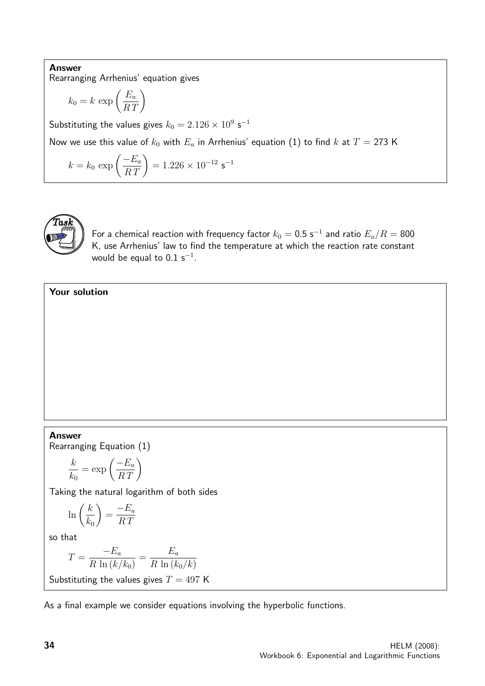Answer Rearranging Arrhenius' equation gives

$$
k_0 = k \, \exp\left(\frac{E_a}{RT}\right)
$$

Substituting the values gives  $k_0 = 2.126 \times 10^9$  s<sup>-1</sup>

Now we use this value of  $k_0$  with  $E_a$  in Arrhenius' equation (1) to find k at  $T = 273$  K

$$
k = k_0 \exp\left(\frac{-E_a}{RT}\right) = 1.226 \times 10^{-12} \text{ s}^{-1}
$$



For a chemical reaction with frequency factor  $k_0=0.5$  s $^{-1}$  and ratio  $E_a/R=\rm 800$ K, use Arrhenius' law to find the temperature at which the reaction rate constant would be equal to  $0.1~{\sf s}^{-1}.$ 

## Your solution

#### Answer

Rearranging Equation (1)

$$
\frac{k}{k_0} = \exp\left(\frac{-E_a}{RT}\right)
$$

Taking the natural logarithm of both sides

$$
\ln\left(\frac{k}{k_0}\right) = \frac{-E_a}{RT}
$$

so that

$$
T = \frac{-E_a}{R \ln(k/k_0)} = \frac{E_a}{R \ln(k_0/k)}
$$
  
Substituting the values gives  $T = 497$  K

As a final example we consider equations involving the hyperbolic functions.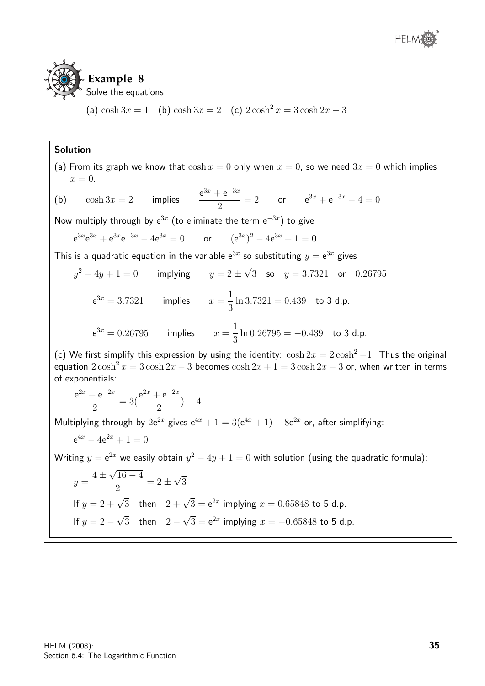

(a)  $\cosh 3x = 1$  (b)  $\cosh 3x = 2$  (c)  $2 \cosh^2 x = 3 \cosh 2x - 3$ 

## Solution

(a) From its graph we know that 
$$
\cosh x = 0
$$
 only when  $x = 0$ , so we need  $3x = 0$  which implies  
\n $x = 0$ .  
\n(b)  $\cosh 3x = 2$  implies  $\frac{e^{3x} + e^{-3x}}{2} = 2$  or  $e^{3x} + e^{-3x} - 4 = 0$   
\nNow multiply through by  $e^{3x}$  (to eliminate the term  $e^{-3x}$ ) to give  
\n $e^{3x}e^{3x} + e^{3x}e^{-3x} - 4e^{3x} = 0$  or  $(e^{3x})^2 - 4e^{3x} + 1 = 0$   
\nThis is a quadratic equation in the variable  $e^{3x}$  so substituting  $y = e^{3x}$  gives  
\n $y^2 - 4y + 1 = 0$  implying  $y = 2 \pm \sqrt{3}$  so  $y = 3.7321$  or  $0.26795$   
\n $e^{3x} = 3.7321$  implies  $x = \frac{1}{3} \ln 3.7321 = 0.439$  to 3 d.p.  
\n $e^{3x} = 0.26795$  implies  $x = \frac{1}{3} \ln 0.26795 = -0.439$  to 3 d.p.  
\n(c) We first simplify this expression by using the identity:  $\cosh 2x = 2 \cosh^2 - 1$ . Thus the original  
\nequation  $2 \cosh^2 x = 3 \cosh 2x - 3$  becomes  $\cosh 2x + 1 = 3 \cosh 2x - 3$  or, when written in terms  
\nof exponentials:  
\n $\frac{e^{2x} + e^{-2x}}{2} = 3(\frac{e^{2x} + e^{-2x}}{2}) - 4$   
\nMultiplying through by  $2e^{2x}$  gives  $e^{4x} + 1 = 3(e^{4x} + 1) - 8e^{2x}$  or, after simplifying:  
\n $e^{4x} - 4e^{2x} + 1 = 0$   
\nWriting  $y = e^{2x}$  we easily obtain  $y^2 - 4y + 1 = 0$  with solution (using the quadratic formula):  
\n $y = \frac{4 \pm \sqrt{16 - 4}}{2} = 2 \pm \sqrt$ 

If 
$$
y = 2 - \sqrt{3}
$$
 then  $2 - \sqrt{3} = e^{2x}$  implying  $x = -0.65848$  to 5 d.p.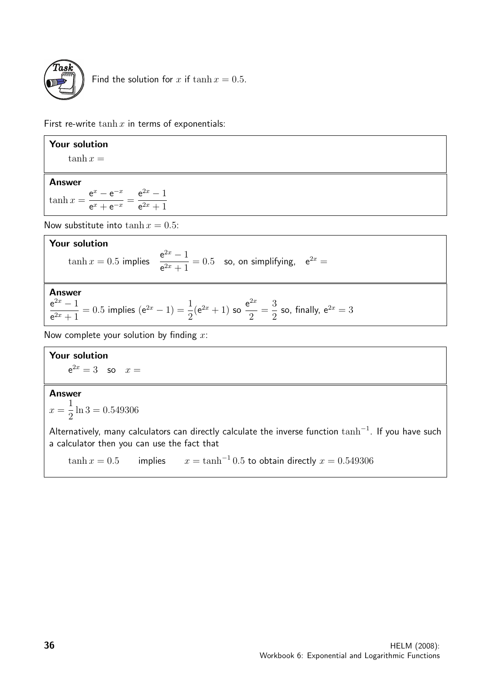

Find the solution for x if  $\tanh x = 0.5$ .

First re-write  $\tanh x$  in terms of exponentials:

| Your solution                                                                                                                                  |
|------------------------------------------------------------------------------------------------------------------------------------------------|
| $\tanh x =$                                                                                                                                    |
| <b>Answer</b><br>$\tanh x = \frac{e^x - e^{-x}}{e^x + e^{-x}} = \frac{e^{2x} - 1}{e^{2x} + 1}$                                                 |
| Now substitute into $\tanh x = 0.5$ :                                                                                                          |
| Your solution<br>$\tanh x = 0.5$ implies $\frac{e^{2x} - 1}{e^{2x} + 1} = 0.5$ so, on simplifying, $e^{2x} =$                                  |
| Answer<br>$\frac{e^{2x}-1}{e^{2x}+1}=0.5$ implies $(e^{2x}-1)=\frac{1}{2}(e^{2x}+1)$ so $\frac{e^{2x}}{2}=\frac{3}{2}$ so, finally, $e^{2x}=3$ |
| Now complete your solution by finding $x$ .                                                                                                    |
| Your solution                                                                                                                                  |
| $e^{2x} = 3$ so $x =$                                                                                                                          |

## Answer

 $x =$ 1 2  $ln 3 = 0.549306$ 

Alternatively, many calculators can directly calculate the inverse function  $\tanh^{-1}$ . If you have such a calculator then you can use the fact that

 $\tanh x = 0.5$  implies  $x = \tanh^{-1} 0.5$  to obtain directly  $x = 0.549306$